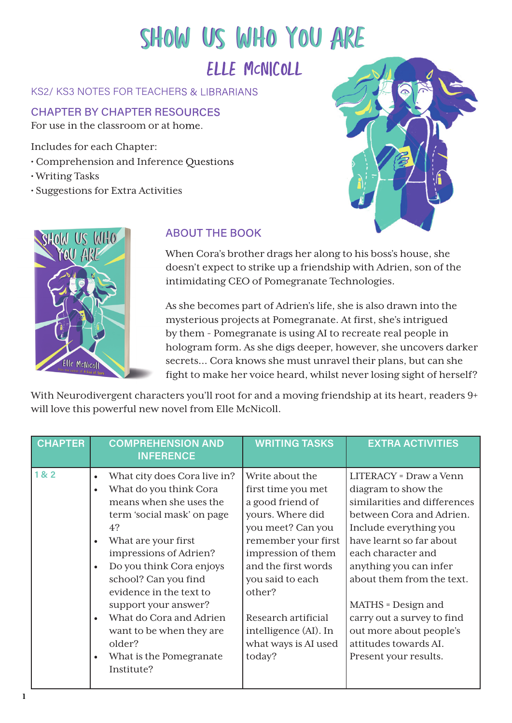## SHOW US WHO YOU ARE ELLE McNICOLL

## KS2/ KS3 NOTES FOR TEACHERS & LIBRARIANS

## **CHAPTER BY CHAPTER RESOURCES** For use in the classroom or at home.

Includes for each Chapter:

- Comprehension and Inference Questions
- Writing Tasks
- Suggestions for Extra Activities





## **ABOUT THE BOOK**

When Cora's brother drags her along to his boss's house, she doesn't expect to strike up a friendship with Adrien, son of the intimidating CEO of Pomegranate Technologies.

As she becomes part of Adrien's life, she is also drawn into the mysterious projects at Pomegranate. At first, she's intrigued by them - Pomegranate is using AI to recreate real people in hologram form. As she digs deeper, however, she uncovers darker secrets... Cora knows she must unravel their plans, but can she fight to make her voice heard, whilst never losing sight of herself?

With Neurodivergent characters you'll root for and a moving friendship at its heart, readers 9+ will love this powerful new novel from Elle McNicoll.

| <b>CHAPTER</b>  | <b>COMPREHENSION AND</b><br><b>INFERENCE</b>                                                                                                                                                                                                                                                                                                                                                                                   | <b>WRITING TASKS</b>                                                                                                                                                                                                                                                                   | <b>EXTRA ACTIVITIES</b>                                                                                                                                                                                                                                                                                                                                                       |
|-----------------|--------------------------------------------------------------------------------------------------------------------------------------------------------------------------------------------------------------------------------------------------------------------------------------------------------------------------------------------------------------------------------------------------------------------------------|----------------------------------------------------------------------------------------------------------------------------------------------------------------------------------------------------------------------------------------------------------------------------------------|-------------------------------------------------------------------------------------------------------------------------------------------------------------------------------------------------------------------------------------------------------------------------------------------------------------------------------------------------------------------------------|
| 18 <sub>2</sub> | What city does Cora live in?<br>$\bullet$<br>What do you think Cora<br>$\bullet$<br>means when she uses the<br>term 'social mask' on page<br>4?<br>What are your first<br>impressions of Adrien?<br>Do you think Cora enjoys<br>school? Can you find<br>evidence in the text to<br>support your answer?<br>What do Cora and Adrien<br>$\bullet$<br>want to be when they are<br>older?<br>What is the Pomegranate<br>Institute? | Write about the<br>first time you met<br>a good friend of<br>yours. Where did<br>you meet? Can you<br>remember your first<br>impression of them<br>and the first words<br>you said to each<br>other?<br>Research artificial<br>intelligence (AI). In<br>what ways is AI used<br>today? | LITERACY = Draw a Venn<br>diagram to show the<br>similarities and differences<br>between Cora and Adrien.<br>Include everything you<br>have learnt so far about<br>each character and<br>anything you can infer<br>about them from the text.<br>MATHS = Design and<br>carry out a survey to find<br>out more about people's<br>attitudes towards AI.<br>Present your results. |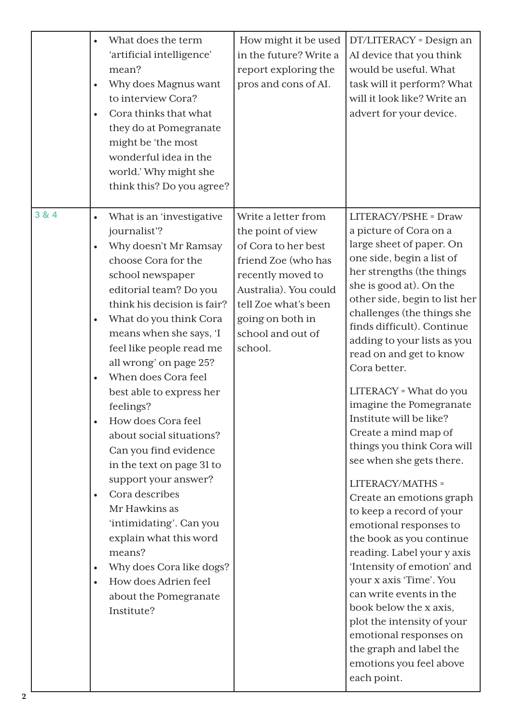|                           | What does the term<br>$\bullet$<br>'artificial intelligence'<br>mean?<br>Why does Magnus want<br>$\bullet$<br>to interview Cora?<br>Cora thinks that what<br>$\bullet$<br>they do at Pomegranate<br>might be 'the most<br>wonderful idea in the<br>world.' Why might she<br>think this? Do you agree?                                                                                                                                                                                                                                                                                                                                                                                                                                                                     | How might it be used<br>in the future? Write a<br>report exploring the<br>pros and cons of AI.                                                                                                                   | DT/LITERACY = Design an<br>AI device that you think<br>would be useful. What<br>task will it perform? What<br>will it look like? Write an<br>advert for your device.                                                                                                                                                                                                                                                                                                                                                                                                                                                                                                                                                                                                                                                                                                                                                |
|---------------------------|---------------------------------------------------------------------------------------------------------------------------------------------------------------------------------------------------------------------------------------------------------------------------------------------------------------------------------------------------------------------------------------------------------------------------------------------------------------------------------------------------------------------------------------------------------------------------------------------------------------------------------------------------------------------------------------------------------------------------------------------------------------------------|------------------------------------------------------------------------------------------------------------------------------------------------------------------------------------------------------------------|---------------------------------------------------------------------------------------------------------------------------------------------------------------------------------------------------------------------------------------------------------------------------------------------------------------------------------------------------------------------------------------------------------------------------------------------------------------------------------------------------------------------------------------------------------------------------------------------------------------------------------------------------------------------------------------------------------------------------------------------------------------------------------------------------------------------------------------------------------------------------------------------------------------------|
| 3 & 4<br>$\boldsymbol{2}$ | What is an 'investigative<br>$\bullet$<br>journalist'?<br>Why doesn't Mr Ramsay<br>$\bullet$<br>choose Cora for the<br>school newspaper<br>editorial team? Do you<br>think his decision is fair?<br>What do you think Cora<br>$\bullet$<br>means when she says, 'I<br>feel like people read me<br>all wrong' on page 25?<br>When does Cora feel<br>$\bullet$<br>best able to express her<br>feelings?<br>How does Cora feel<br>about social situations?<br>Can you find evidence<br>in the text on page 31 to<br>support your answer?<br>Cora describes<br>$\bullet$<br>Mr Hawkins as<br>'intimidating'. Can you<br>explain what this word<br>means?<br>Why does Cora like dogs?<br>$\bullet$<br>How does Adrien feel<br>$\bullet$<br>about the Pomegranate<br>Institute? | Write a letter from<br>the point of view<br>of Cora to her best<br>friend Zoe (who has<br>recently moved to<br>Australia). You could<br>tell Zoe what's been<br>going on both in<br>school and out of<br>school. | LITERACY/PSHE = Draw<br>a picture of Cora on a<br>large sheet of paper. On<br>one side, begin a list of<br>her strengths (the things<br>she is good at). On the<br>other side, begin to list her<br>challenges (the things she<br>finds difficult). Continue<br>adding to your lists as you<br>read on and get to know<br>Cora better.<br>LITERACY = What do you<br>imagine the Pomegranate<br>Institute will be like?<br>Create a mind map of<br>things you think Cora will<br>see when she gets there.<br>LITERACY/MATHS =<br>Create an emotions graph<br>to keep a record of your<br>emotional responses to<br>the book as you continue<br>reading. Label your y axis<br>'Intensity of emotion' and<br>your x axis 'Time'. You<br>can write events in the<br>book below the x axis,<br>plot the intensity of your<br>emotional responses on<br>the graph and label the<br>emotions you feel above<br>each point. |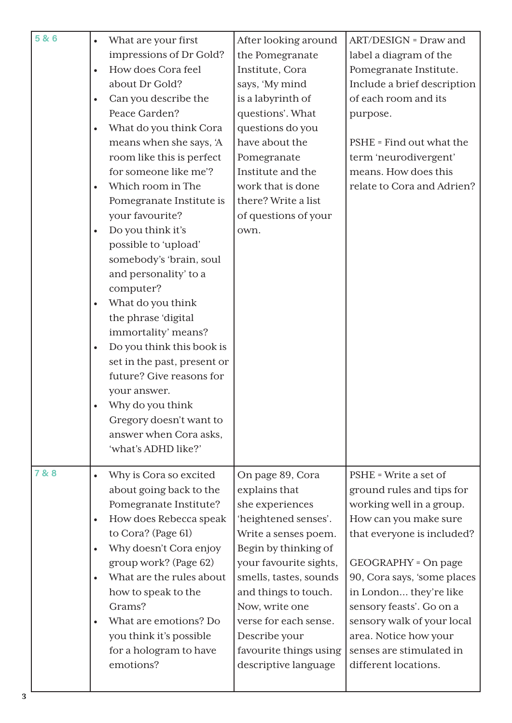| 5 & 6 | $\bullet$ | What are your first         | After looking around   | ART/DESIGN = Draw and       |
|-------|-----------|-----------------------------|------------------------|-----------------------------|
|       |           | impressions of Dr Gold?     | the Pomegranate        | label a diagram of the      |
|       | $\bullet$ | How does Cora feel          | Institute, Cora        | Pomegranate Institute.      |
|       |           | about Dr Gold?              | says, 'My mind         | Include a brief description |
|       | $\bullet$ | Can you describe the        | is a labyrinth of      | of each room and its        |
|       |           | Peace Garden?               | questions'. What       | purpose.                    |
|       | $\bullet$ | What do you think Cora      | questions do you       |                             |
|       |           | means when she says, 'A     | have about the         | PSHE = Find out what the    |
|       |           | room like this is perfect   | Pomegranate            | term 'neurodivergent'       |
|       |           | for someone like me'?       | Institute and the      | means. How does this        |
|       | $\bullet$ | Which room in The           | work that is done      | relate to Cora and Adrien?  |
|       |           | Pomegranate Institute is    | there? Write a list    |                             |
|       |           | your favourite?             | of questions of your   |                             |
|       | $\bullet$ | Do you think it's           | own.                   |                             |
|       |           | possible to 'upload'        |                        |                             |
|       |           | somebody's 'brain, soul     |                        |                             |
|       |           | and personality' to a       |                        |                             |
|       |           | computer?                   |                        |                             |
|       | $\bullet$ | What do you think           |                        |                             |
|       |           | the phrase 'digital         |                        |                             |
|       |           | immortality' means?         |                        |                             |
|       | $\bullet$ | Do you think this book is   |                        |                             |
|       |           | set in the past, present or |                        |                             |
|       |           | future? Give reasons for    |                        |                             |
|       |           | your answer.                |                        |                             |
|       |           | Why do you think            |                        |                             |
|       |           | Gregory doesn't want to     |                        |                             |
|       |           | answer when Cora asks,      |                        |                             |
|       |           | 'what's ADHD like?'         |                        |                             |
| 7 & 8 | $\bullet$ | Why is Cora so excited      | On page 89, Cora       | PSHE = Write a set of       |
|       |           | about going back to the     | explains that          | ground rules and tips for   |
|       |           | Pomegranate Institute?      | she experiences        | working well in a group.    |
|       | $\bullet$ | How does Rebecca speak      | 'heightened senses'.   | How can you make sure       |
|       |           | to Cora? (Page 61)          | Write a senses poem.   | that everyone is included?  |
|       | $\bullet$ | Why doesn't Cora enjoy      | Begin by thinking of   |                             |
|       |           | group work? (Page 62)       | your favourite sights, | GEOGRAPHY = On page         |
|       | $\bullet$ | What are the rules about    | smells, tastes, sounds | 90, Cora says, 'some places |
|       |           | how to speak to the         | and things to touch.   | in London they're like      |
|       |           | Grams?                      | Now, write one         | sensory feasts'. Go on a    |
|       | $\bullet$ | What are emotions? Do       | verse for each sense.  | sensory walk of your local  |
|       |           | you think it's possible     | Describe your          | area. Notice how your       |
|       |           | for a hologram to have      | favourite things using | senses are stimulated in    |
|       |           | emotions?                   | descriptive language   | different locations.        |
|       |           |                             |                        |                             |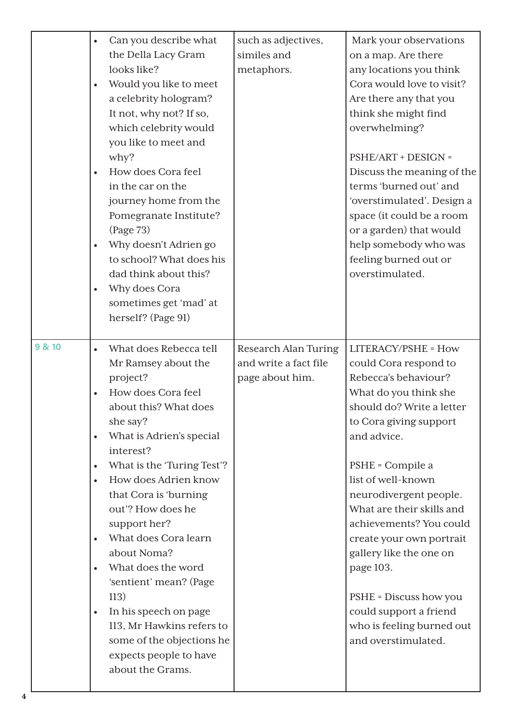|        | Can you describe what<br>$\bullet$<br>the Della Lacy Gram<br>looks like?<br>Would you like to meet<br>a celebrity hologram?<br>It not, why not? If so,<br>which celebrity would<br>you like to meet and<br>why?<br>How does Cora feel<br>in the car on the<br>journey home from the<br>Pomegranate Institute?<br>(Page 73)<br>Why doesn't Adrien go<br>to school? What does his<br>dad think about this?<br>Why does Cora<br>sometimes get 'mad' at<br>herself? (Page 91)                                                                                             | such as adjectives,<br>similes and<br>metaphors.                 | Mark your observations<br>on a map. Are there<br>any locations you think<br>Cora would love to visit?<br>Are there any that you<br>think she might find<br>overwhelming?<br>PSHE/ART + DESIGN =<br>Discuss the meaning of the<br>terms 'burned out' and<br>'overstimulated'. Design a<br>space (it could be a room<br>or a garden) that would<br>help somebody who was<br>feeling burned out or<br>overstimulated.                                                          |
|--------|-----------------------------------------------------------------------------------------------------------------------------------------------------------------------------------------------------------------------------------------------------------------------------------------------------------------------------------------------------------------------------------------------------------------------------------------------------------------------------------------------------------------------------------------------------------------------|------------------------------------------------------------------|-----------------------------------------------------------------------------------------------------------------------------------------------------------------------------------------------------------------------------------------------------------------------------------------------------------------------------------------------------------------------------------------------------------------------------------------------------------------------------|
| 9 & 10 | What does Rebecca tell<br>$\bullet$<br>Mr Ramsey about the<br>project?<br>How does Cora feel<br>about this? What does<br>she say?<br>What is Adrien's special<br>$\bullet$<br>interest?<br>What is the 'Turing Test'?<br>$\bullet$<br>How does Adrien know<br>that Cora is 'burning<br>out'? How does he<br>support her?<br>What does Cora learn<br>about Noma?<br>What does the word<br>'sentient' mean? (Page<br>113)<br>In his speech on page<br>$\bullet$<br>113, Mr Hawkins refers to<br>some of the objections he<br>expects people to have<br>about the Grams. | Research Alan Turing<br>and write a fact file<br>page about him. | LITERACY/PSHE = How<br>could Cora respond to<br>Rebecca's behaviour?<br>What do you think she<br>should do? Write a letter<br>to Cora giving support<br>and advice.<br>PSHE = Compile a<br>list of well-known<br>neurodivergent people.<br>What are their skills and<br>achievements? You could<br>create your own portrait<br>gallery like the one on<br>page 103.<br>PSHE = Discuss how you<br>could support a friend<br>who is feeling burned out<br>and overstimulated. |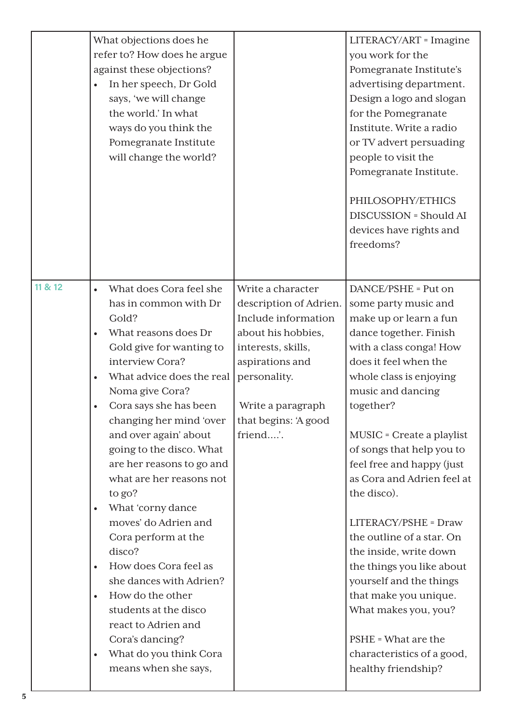|         | What objections does he<br>refer to? How does he argue<br>against these objections?<br>In her speech, Dr Gold<br>says, 'we will change<br>the world.' In what<br>ways do you think the<br>Pomegranate Institute<br>will change the world?                                                                                                                                                                                                                                                                                                                                                                                                                          |                                                                                                                                                                                                            | LITERACY/ART = Imagine<br>you work for the<br>Pomegranate Institute's<br>advertising department.<br>Design a logo and slogan<br>for the Pomegranate<br>Institute. Write a radio<br>or TV advert persuading<br>people to visit the<br>Pomegranate Institute.<br>PHILOSOPHY/ETHICS<br><b>DISCUSSION = Should AI</b><br>devices have rights and<br>freedoms?                                                                                                                                                                                                                                                                |
|---------|--------------------------------------------------------------------------------------------------------------------------------------------------------------------------------------------------------------------------------------------------------------------------------------------------------------------------------------------------------------------------------------------------------------------------------------------------------------------------------------------------------------------------------------------------------------------------------------------------------------------------------------------------------------------|------------------------------------------------------------------------------------------------------------------------------------------------------------------------------------------------------------|--------------------------------------------------------------------------------------------------------------------------------------------------------------------------------------------------------------------------------------------------------------------------------------------------------------------------------------------------------------------------------------------------------------------------------------------------------------------------------------------------------------------------------------------------------------------------------------------------------------------------|
| 11 & 12 | What does Cora feel she<br>has in common with Dr<br>Gold?<br>What reasons does Dr<br>Gold give for wanting to<br>interview Cora?<br>What advice does the real<br>Noma give Cora?<br>Cora says she has been<br>changing her mind 'over<br>and over again' about<br>going to the disco. What<br>are her reasons to go and<br>what are her reasons not<br>to go?<br>What 'corny dance<br>moves' do Adrien and<br>Cora perform at the<br>disco?<br>How does Cora feel as<br>she dances with Adrien?<br>How do the other<br>$\bullet$<br>students at the disco<br>react to Adrien and<br>Cora's dancing?<br>What do you think Cora<br>$\bullet$<br>means when she says, | Write a character<br>description of Adrien.<br>Include information<br>about his hobbies,<br>interests, skills,<br>aspirations and<br>personality.<br>Write a paragraph<br>that begins: 'A good<br>friend'. | DANCE/PSHE = Put on<br>some party music and<br>make up or learn a fun<br>dance together. Finish<br>with a class conga! How<br>does it feel when the<br>whole class is enjoying<br>music and dancing<br>together?<br>MUSIC = Create a playlist<br>of songs that help you to<br>feel free and happy (just<br>as Cora and Adrien feel at<br>the disco).<br>LITERACY/PSHE = Draw<br>the outline of a star. On<br>the inside, write down<br>the things you like about<br>yourself and the things<br>that make you unique.<br>What makes you, you?<br>PSHE = What are the<br>characteristics of a good,<br>healthy friendship? |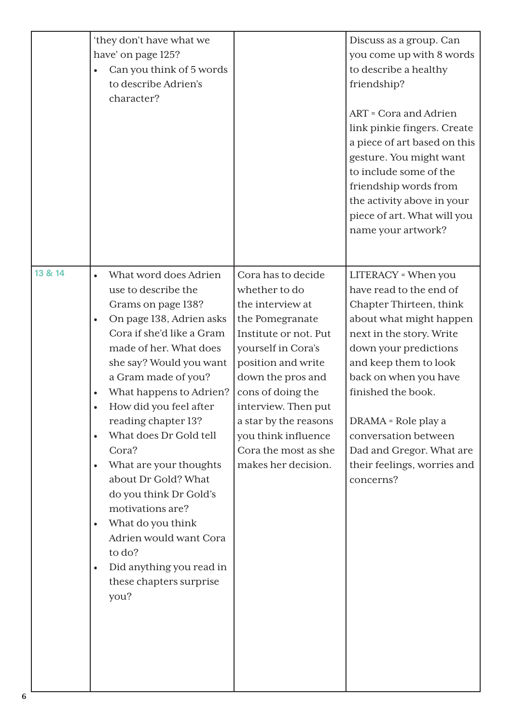|              | 'they don't have what we<br>have' on page 125?<br>Can you think of 5 words<br>$\bullet$<br>to describe Adrien's<br>character?                                                                                                                                                                                                                                                                                                                                                                                                                                                                                                                         |                                                                                                                                                                                                                                                                                                                 | Discuss as a group. Can<br>you come up with 8 words<br>to describe a healthy<br>friendship?<br>ART = Cora and Adrien<br>link pinkie fingers. Create<br>a piece of art based on this<br>gesture. You might want<br>to include some of the<br>friendship words from<br>the activity above in your<br>piece of art. What will you<br>name your artwork?     |
|--------------|-------------------------------------------------------------------------------------------------------------------------------------------------------------------------------------------------------------------------------------------------------------------------------------------------------------------------------------------------------------------------------------------------------------------------------------------------------------------------------------------------------------------------------------------------------------------------------------------------------------------------------------------------------|-----------------------------------------------------------------------------------------------------------------------------------------------------------------------------------------------------------------------------------------------------------------------------------------------------------------|----------------------------------------------------------------------------------------------------------------------------------------------------------------------------------------------------------------------------------------------------------------------------------------------------------------------------------------------------------|
| 13 & 14<br>6 | What word does Adrien<br>$\bullet$<br>use to describe the<br>Grams on page 138?<br>On page 138, Adrien asks<br>$\bullet$<br>Cora if she'd like a Gram<br>made of her. What does<br>she say? Would you want<br>a Gram made of you?<br>What happens to Adrien?<br>$\bullet$<br>How did you feel after<br>$\bullet$<br>reading chapter 13?<br>What does Dr Gold tell<br>$\bullet$<br>Cora?<br>What are your thoughts<br>$\bullet$<br>about Dr Gold? What<br>do you think Dr Gold's<br>motivations are?<br>What do you think<br>$\bullet$<br>Adrien would want Cora<br>to do?<br>Did anything you read in<br>$\bullet$<br>these chapters surprise<br>you? | Cora has to decide<br>whether to do<br>the interview at<br>the Pomegranate<br>Institute or not. Put<br>yourself in Cora's<br>position and write<br>down the pros and<br>cons of doing the<br>interview. Then put<br>a star by the reasons<br>you think influence<br>Cora the most as she<br>makes her decision. | LITERACY = When you<br>have read to the end of<br>Chapter Thirteen, think<br>about what might happen<br>next in the story. Write<br>down your predictions<br>and keep them to look<br>back on when you have<br>finished the book.<br>DRAMA = Role play a<br>conversation between<br>Dad and Gregor. What are<br>their feelings, worries and<br>concerns? |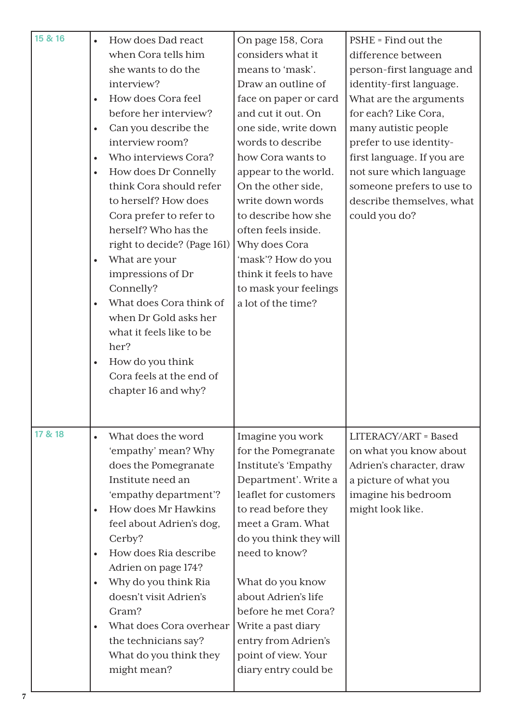| 15 & 16 | $\bullet$<br>$\bullet$<br>$\bullet$<br>$\bullet$<br>$\bullet$<br>$\bullet$<br>$\bullet$ | How does Dad react<br>when Cora tells him<br>she wants to do the<br>interview?<br>How does Cora feel<br>before her interview?<br>Can you describe the<br>interview room?<br>Who interviews Cora?<br>How does Dr Connelly<br>think Cora should refer<br>to herself? How does<br>Cora prefer to refer to<br>herself? Who has the<br>right to decide? (Page 161)<br>What are your<br>impressions of Dr<br>Connelly?<br>What does Cora think of<br>when Dr Gold asks her<br>what it feels like to be<br>her?<br>How do you think<br>Cora feels at the end of<br>chapter 16 and why? | On page 158, Cora<br>considers what it<br>means to 'mask'.<br>Draw an outline of<br>face on paper or card<br>and cut it out. On<br>one side, write down<br>words to describe<br>how Cora wants to<br>appear to the world.<br>On the other side,<br>write down words<br>to describe how she<br>often feels inside.<br>Why does Cora<br>'mask'? How do you<br>think it feels to have<br>to mask your feelings<br>a lot of the time? | PSHE = Find out the<br>difference between<br>person-first language and<br>identity-first language.<br>What are the arguments<br>for each? Like Cora,<br>many autistic people<br>prefer to use identity-<br>first language. If you are<br>not sure which language<br>someone prefers to use to<br>describe themselves, what<br>could you do? |
|---------|-----------------------------------------------------------------------------------------|---------------------------------------------------------------------------------------------------------------------------------------------------------------------------------------------------------------------------------------------------------------------------------------------------------------------------------------------------------------------------------------------------------------------------------------------------------------------------------------------------------------------------------------------------------------------------------|-----------------------------------------------------------------------------------------------------------------------------------------------------------------------------------------------------------------------------------------------------------------------------------------------------------------------------------------------------------------------------------------------------------------------------------|---------------------------------------------------------------------------------------------------------------------------------------------------------------------------------------------------------------------------------------------------------------------------------------------------------------------------------------------|
| 17 & 18 | $\bullet$<br>$\bullet$<br>$\bullet$<br>$\bullet$<br>$\bullet$                           | What does the word<br>'empathy' mean? Why<br>does the Pomegranate<br>Institute need an<br>'empathy department'?<br>How does Mr Hawkins<br>feel about Adrien's dog,<br>Cerby?<br>How does Ria describe<br>Adrien on page 174?<br>Why do you think Ria<br>doesn't visit Adrien's<br>Gram?<br>What does Cora overhear<br>the technicians say?<br>What do you think they<br>might mean?                                                                                                                                                                                             | Imagine you work<br>for the Pomegranate<br>Institute's 'Empathy<br>Department'. Write a<br>leaflet for customers<br>to read before they<br>meet a Gram. What<br>do you think they will<br>need to know?<br>What do you know<br>about Adrien's life<br>before he met Cora?<br>Write a past diary<br>entry from Adrien's<br>point of view. Your<br>diary entry could be                                                             | LITERACY/ART = Based<br>on what you know about<br>Adrien's character, draw<br>a picture of what you<br>imagine his bedroom<br>might look like.                                                                                                                                                                                              |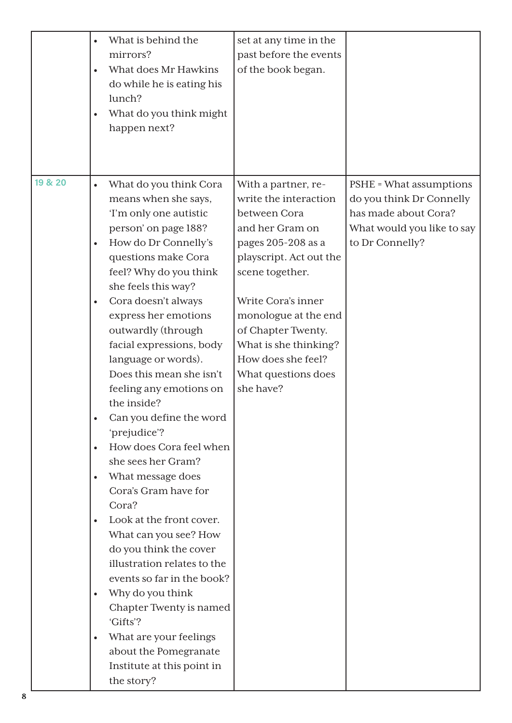|         | What is behind the<br>$\bullet$<br>mirrors?<br>What does Mr Hawkins<br>$\bullet$<br>do while he is eating his<br>lunch?<br>What do you think might<br>$\bullet$<br>happen next?                                                                                                                                                                                                                                                                                                                                                                                                                                                                                                                                                                                                                                                                                                                                                                                | set at any time in the<br>past before the events<br>of the book began.                                                                                                                                                                                                                                     |                                                                                                                              |
|---------|----------------------------------------------------------------------------------------------------------------------------------------------------------------------------------------------------------------------------------------------------------------------------------------------------------------------------------------------------------------------------------------------------------------------------------------------------------------------------------------------------------------------------------------------------------------------------------------------------------------------------------------------------------------------------------------------------------------------------------------------------------------------------------------------------------------------------------------------------------------------------------------------------------------------------------------------------------------|------------------------------------------------------------------------------------------------------------------------------------------------------------------------------------------------------------------------------------------------------------------------------------------------------------|------------------------------------------------------------------------------------------------------------------------------|
| 19 & 20 | What do you think Cora<br>$\bullet$<br>means when she says,<br>'I'm only one autistic<br>person' on page 188?<br>How do Dr Connelly's<br>$\bullet$<br>questions make Cora<br>feel? Why do you think<br>she feels this way?<br>Cora doesn't always<br>$\bullet$<br>express her emotions<br>outwardly (through<br>facial expressions, body<br>language or words).<br>Does this mean she isn't<br>feeling any emotions on<br>the inside?<br>Can you define the word<br>'prejudice'?<br>How does Cora feel when<br>$\bullet$<br>she sees her Gram?<br>What message does<br>$\bullet$<br>Cora's Gram have for<br>Cora?<br>Look at the front cover.<br>$\bullet$<br>What can you see? How<br>do you think the cover<br>illustration relates to the<br>events so far in the book?<br>Why do you think<br>$\bullet$<br>Chapter Twenty is named<br>'Gifts'?<br>What are your feelings<br>$\bullet$<br>about the Pomegranate<br>Institute at this point in<br>the story? | With a partner, re-<br>write the interaction<br>between Cora<br>and her Gram on<br>pages 205-208 as a<br>playscript. Act out the<br>scene together.<br>Write Cora's inner<br>monologue at the end<br>of Chapter Twenty.<br>What is she thinking?<br>How does she feel?<br>What questions does<br>she have? | PSHE = What assumptions<br>do you think Dr Connelly<br>has made about Cora?<br>What would you like to say<br>to Dr Connelly? |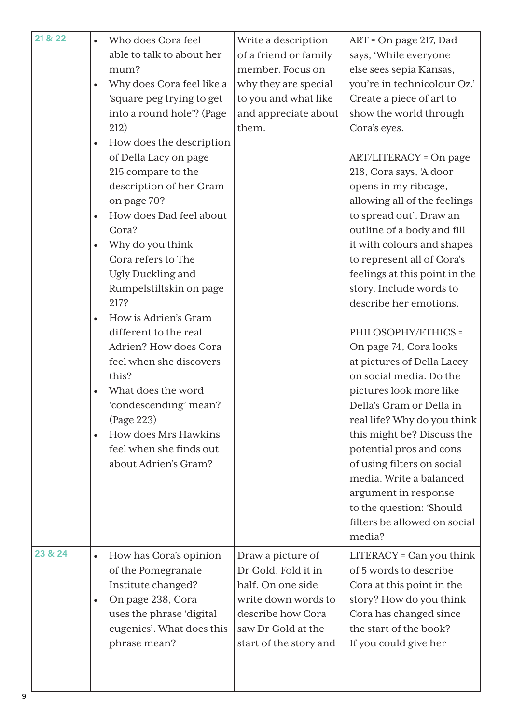| 21 & 22 | $\bullet$ | Who does Cora feel        | Write a description    | ART = On page 217, Dad        |
|---------|-----------|---------------------------|------------------------|-------------------------------|
|         |           | able to talk to about her | of a friend or family  | says, 'While everyone         |
|         |           | mum?                      | member. Focus on       | else sees sepia Kansas,       |
|         |           | Why does Cora feel like a | why they are special   | you're in technicolour Oz.'   |
|         |           | 'square peg trying to get | to you and what like   | Create a piece of art to      |
|         |           | into a round hole'? (Page | and appreciate about   | show the world through        |
|         |           | 212)                      | them.                  | Cora's eyes.                  |
|         | $\bullet$ | How does the description  |                        |                               |
|         |           | of Della Lacy on page     |                        | <b>ART/LITERACY = On page</b> |
|         |           | 215 compare to the        |                        | 218, Cora says, 'A door       |
|         |           | description of her Gram   |                        | opens in my ribcage,          |
|         |           | on page 70?               |                        | allowing all of the feelings  |
|         | $\bullet$ | How does Dad feel about   |                        | to spread out'. Draw an       |
|         |           | Cora?                     |                        | outline of a body and fill    |
|         |           | Why do you think          |                        | it with colours and shapes    |
|         |           | Cora refers to The        |                        | to represent all of Cora's    |
|         |           | Ugly Duckling and         |                        | feelings at this point in the |
|         |           | Rumpelstiltskin on page   |                        | story. Include words to       |
|         |           | 217?                      |                        | describe her emotions.        |
|         | $\bullet$ | How is Adrien's Gram      |                        |                               |
|         |           | different to the real     |                        | PHILOSOPHY/ETHICS =           |
|         |           | Adrien? How does Cora     |                        | On page 74, Cora looks        |
|         |           | feel when she discovers   |                        | at pictures of Della Lacey    |
|         |           | this?                     |                        | on social media. Do the       |
|         | $\bullet$ | What does the word        |                        | pictures look more like       |
|         |           | 'condescending' mean?     |                        | Della's Gram or Della in      |
|         |           | (Page 223)                |                        | real life? Why do you think   |
|         | $\bullet$ | How does Mrs Hawkins      |                        | this might be? Discuss the    |
|         |           | feel when she finds out   |                        | potential pros and cons       |
|         |           | about Adrien's Gram?      |                        | of using filters on social    |
|         |           |                           |                        | media. Write a balanced       |
|         |           |                           |                        | argument in response          |
|         |           |                           |                        | to the question: 'Should      |
|         |           |                           |                        | filters be allowed on social  |
|         |           |                           |                        | media?                        |
| 23 & 24 | $\bullet$ | How has Cora's opinion    | Draw a picture of      | LITERACY = Can you think      |
|         |           | of the Pomegranate        | Dr Gold. Fold it in    | of 5 words to describe        |
|         |           | Institute changed?        | half. On one side      | Cora at this point in the     |
|         | $\bullet$ | On page 238, Cora         | write down words to    | story? How do you think       |
|         |           | uses the phrase 'digital  | describe how Cora      | Cora has changed since        |
|         |           | eugenics'. What does this | saw Dr Gold at the     | the start of the book?        |
|         |           | phrase mean?              | start of the story and | If you could give her         |
|         |           |                           |                        |                               |
|         |           |                           |                        |                               |
|         |           |                           |                        |                               |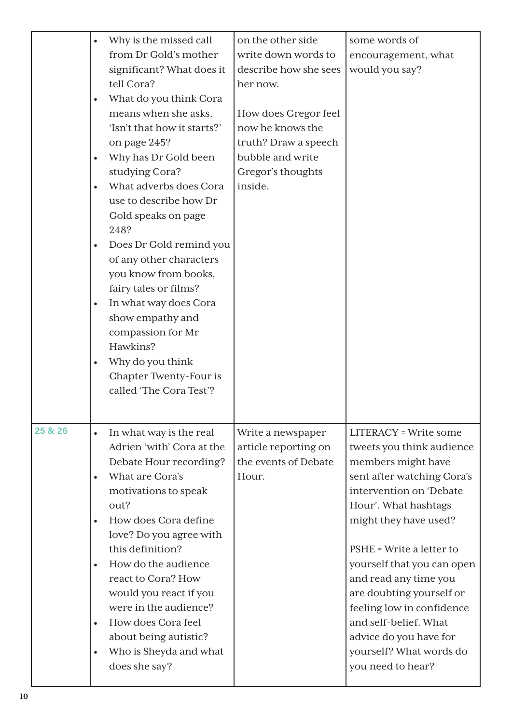|         | Why is the missed call<br>$\bullet$<br>from Dr Gold's mother<br>significant? What does it<br>tell Cora?<br>What do you think Cora<br>$\bullet$<br>means when she asks,<br>'Isn't that how it starts?'<br>on page 245?<br>Why has Dr Gold been<br>$\bullet$<br>studying Cora?<br>What adverbs does Cora<br>$\bullet$<br>use to describe how Dr<br>Gold speaks on page<br>248?<br>Does Dr Gold remind you<br>$\bullet$<br>of any other characters<br>you know from books,<br>fairy tales or films?<br>In what way does Cora<br>$\bullet$<br>show empathy and<br>compassion for Mr<br>Hawkins?<br>Why do you think<br>$\bullet$<br>Chapter Twenty-Four is<br>called 'The Cora Test'? | on the other side<br>write down words to<br>describe how she sees<br>her now.<br>How does Gregor feel<br>now he knows the<br>truth? Draw a speech<br>bubble and write<br>Gregor's thoughts<br>inside. | some words of<br>encouragement, what<br>would you say?                                                                                                                                                                                                                                                                                                                                                                                   |
|---------|-----------------------------------------------------------------------------------------------------------------------------------------------------------------------------------------------------------------------------------------------------------------------------------------------------------------------------------------------------------------------------------------------------------------------------------------------------------------------------------------------------------------------------------------------------------------------------------------------------------------------------------------------------------------------------------|-------------------------------------------------------------------------------------------------------------------------------------------------------------------------------------------------------|------------------------------------------------------------------------------------------------------------------------------------------------------------------------------------------------------------------------------------------------------------------------------------------------------------------------------------------------------------------------------------------------------------------------------------------|
| 25 & 26 | In what way is the real<br>$\bullet$<br>Adrien 'with' Cora at the<br>Debate Hour recording?<br>What are Cora's<br>$\bullet$<br>motivations to speak<br>out?<br>How does Cora define<br>$\bullet$<br>love? Do you agree with<br>this definition?<br>How do the audience<br>$\bullet$<br>react to Cora? How<br>would you react if you<br>were in the audience?<br>How does Cora feel<br>$\bullet$<br>about being autistic?<br>Who is Sheyda and what<br>$\bullet$<br>does she say?                                                                                                                                                                                                  | Write a newspaper<br>article reporting on<br>the events of Debate<br>Hour.                                                                                                                            | <b>LITERACY</b> = Write some<br>tweets you think audience<br>members might have<br>sent after watching Cora's<br>intervention on 'Debate<br>Hour'. What hashtags<br>might they have used?<br>PSHE = Write a letter to<br>yourself that you can open<br>and read any time you<br>are doubting yourself or<br>feeling low in confidence<br>and self-belief. What<br>advice do you have for<br>yourself? What words do<br>you need to hear? |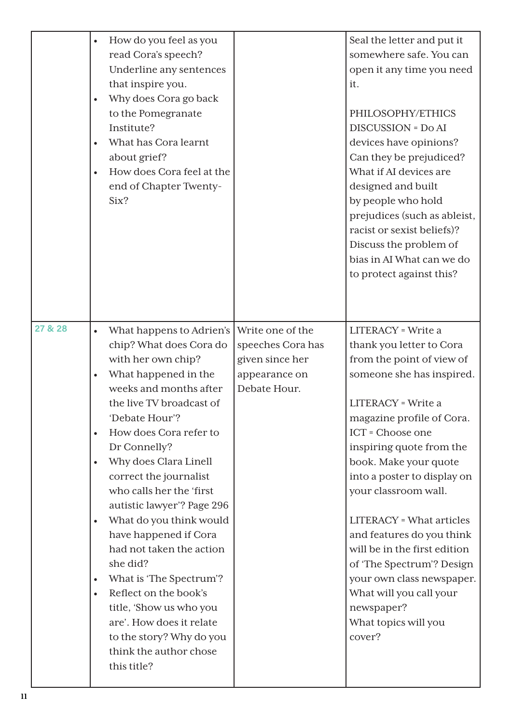|         | How do you feel as you<br>read Cora's speech?<br>Underline any sentences<br>that inspire you.<br>Why does Cora go back<br>$\bullet$<br>to the Pomegranate<br>Institute?<br>What has Cora learnt<br>about grief?<br>How does Cora feel at the<br>$\bullet$<br>end of Chapter Twenty-<br>Six?                                                                                                                                                                                                                                                                                                                                                                                                |                                                                                           | Seal the letter and put it<br>somewhere safe. You can<br>open it any time you need<br>it.<br>PHILOSOPHY/ETHICS<br><b>DISCUSSION = Do AI</b><br>devices have opinions?<br>Can they be prejudiced?<br>What if AI devices are<br>designed and built<br>by people who hold<br>prejudices (such as ableist,<br>racist or sexist beliefs)?<br>Discuss the problem of<br>bias in AI What can we do<br>to protect against this?                                                                                                                 |
|---------|--------------------------------------------------------------------------------------------------------------------------------------------------------------------------------------------------------------------------------------------------------------------------------------------------------------------------------------------------------------------------------------------------------------------------------------------------------------------------------------------------------------------------------------------------------------------------------------------------------------------------------------------------------------------------------------------|-------------------------------------------------------------------------------------------|-----------------------------------------------------------------------------------------------------------------------------------------------------------------------------------------------------------------------------------------------------------------------------------------------------------------------------------------------------------------------------------------------------------------------------------------------------------------------------------------------------------------------------------------|
| 27 & 28 | What happens to Adrien's<br>$\bullet$<br>chip? What does Cora do<br>with her own chip?<br>What happened in the<br>$\bullet$<br>weeks and months after<br>the live TV broadcast of<br>'Debate Hour'?<br>How does Cora refer to<br>Dr Connelly?<br>Why does Clara Linell<br>$\bullet$<br>correct the journalist<br>who calls her the 'first<br>autistic lawyer'? Page 296<br>What do you think would<br>$\bullet$<br>have happened if Cora<br>had not taken the action<br>she did?<br>What is 'The Spectrum'?<br>$\bullet$<br>Reflect on the book's<br>$\bullet$<br>title, 'Show us who you<br>are'. How does it relate<br>to the story? Why do you<br>think the author chose<br>this title? | Write one of the<br>speeches Cora has<br>given since her<br>appearance on<br>Debate Hour. | <b>LITERACY</b> = Write a<br>thank you letter to Cora<br>from the point of view of<br>someone she has inspired.<br>LITERACY = Write a<br>magazine profile of Cora.<br>ICT = Choose one<br>inspiring quote from the<br>book. Make your quote<br>into a poster to display on<br>your classroom wall.<br><b>LITERACY</b> = What articles<br>and features do you think<br>will be in the first edition<br>of 'The Spectrum'? Design<br>your own class newspaper.<br>What will you call your<br>newspaper?<br>What topics will you<br>cover? |